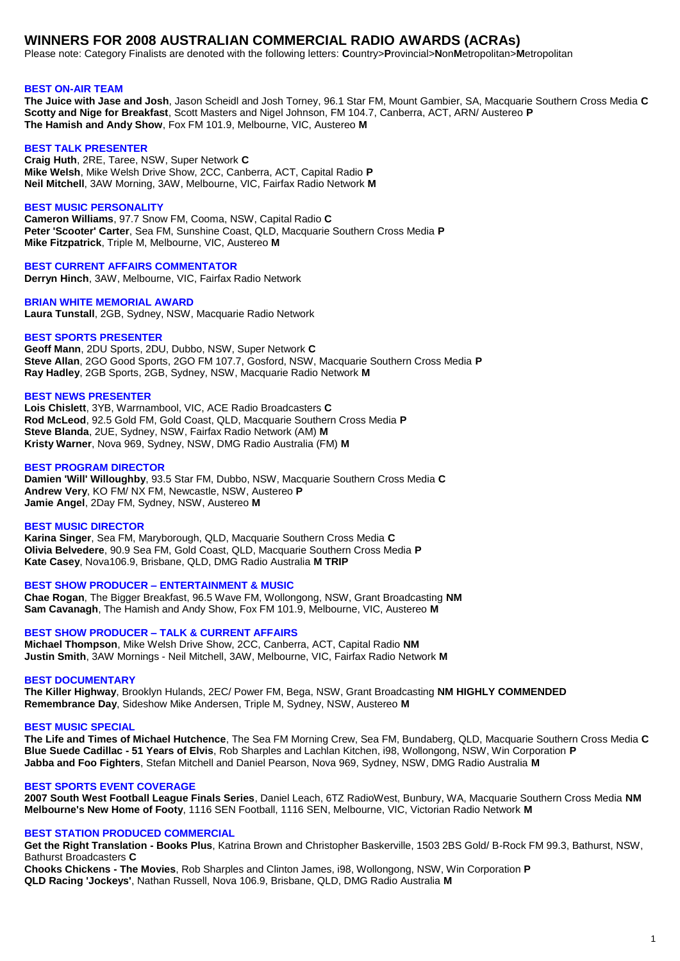# **WINNERS FOR 2008 AUSTRALIAN COMMERCIAL RADIO AWARDS (ACRAs)**

Please note: Category Finalists are denoted with the following letters: **C**ountry>**P**rovincial>**N**on**M**etropolitan>**M**etropolitan

### **BEST ON-AIR TEAM**

**The Juice with Jase and Josh**, Jason Scheidl and Josh Torney, 96.1 Star FM, Mount Gambier, SA, Macquarie Southern Cross Media **C Scotty and Nige for Breakfast**, Scott Masters and Nigel Johnson, FM 104.7, Canberra, ACT, ARN/ Austereo **P The Hamish and Andy Show**, Fox FM 101.9, Melbourne, VIC, Austereo **M**

#### **BEST TALK PRESENTER**

**Craig Huth**, 2RE, Taree, NSW, Super Network **C Mike Welsh**, Mike Welsh Drive Show, 2CC, Canberra, ACT, Capital Radio **P Neil Mitchell**, 3AW Morning, 3AW, Melbourne, VIC, Fairfax Radio Network **M**

# **BEST MUSIC PERSONALITY**

**Cameron Williams**, 97.7 Snow FM, Cooma, NSW, Capital Radio **C Peter 'Scooter' Carter**, Sea FM, Sunshine Coast, QLD, Macquarie Southern Cross Media **P Mike Fitzpatrick**, Triple M, Melbourne, VIC, Austereo **M**

#### **BEST CURRENT AFFAIRS COMMENTATOR**

**Derryn Hinch**, 3AW, Melbourne, VIC, Fairfax Radio Network

**BRIAN WHITE MEMORIAL AWARD**

**Laura Tunstall**, 2GB, Sydney, NSW, Macquarie Radio Network

### **BEST SPORTS PRESENTER**

**Geoff Mann**, 2DU Sports, 2DU, Dubbo, NSW, Super Network **C Steve Allan**, 2GO Good Sports, 2GO FM 107.7, Gosford, NSW, Macquarie Southern Cross Media **P Ray Hadley**, 2GB Sports, 2GB, Sydney, NSW, Macquarie Radio Network **M**

# **BEST NEWS PRESENTER**

**Lois Chislett**, 3YB, Warrnambool, VIC, ACE Radio Broadcasters **C Rod McLeod**, 92.5 Gold FM, Gold Coast, QLD, Macquarie Southern Cross Media **P Steve Blanda**, 2UE, Sydney, NSW, Fairfax Radio Network (AM) **M Kristy Warner**, Nova 969, Sydney, NSW, DMG Radio Australia (FM) **M**

### **BEST PROGRAM DIRECTOR**

**Damien 'Will' Willoughby**, 93.5 Star FM, Dubbo, NSW, Macquarie Southern Cross Media **C Andrew Very**, KO FM/ NX FM, Newcastle, NSW, Austereo **P Jamie Angel**, 2Day FM, Sydney, NSW, Austereo **M**

#### **BEST MUSIC DIRECTOR**

**Karina Singer**, Sea FM, Maryborough, QLD, Macquarie Southern Cross Media **C Olivia Belvedere**, 90.9 Sea FM, Gold Coast, QLD, Macquarie Southern Cross Media **P Kate Casey**, Nova106.9, Brisbane, QLD, DMG Radio Australia **M TRIP**

**BEST SHOW PRODUCER – ENTERTAINMENT & MUSIC**

**Chae Rogan**, The Bigger Breakfast, 96.5 Wave FM, Wollongong, NSW, Grant Broadcasting **NM Sam Cavanagh**, The Hamish and Andy Show, Fox FM 101.9, Melbourne, VIC, Austereo **M**

**BEST SHOW PRODUCER – TALK & CURRENT AFFAIRS Michael Thompson**, Mike Welsh Drive Show, 2CC, Canberra, ACT, Capital Radio **NM Justin Smith**, 3AW Mornings - Neil Mitchell, 3AW, Melbourne, VIC, Fairfax Radio Network **M**

#### **BEST DOCUMENTARY**

**The Killer Highway**, Brooklyn Hulands, 2EC/ Power FM, Bega, NSW, Grant Broadcasting **NM HIGHLY COMMENDED Remembrance Day**, Sideshow Mike Andersen, Triple M, Sydney, NSW, Austereo **M**

# **BEST MUSIC SPECIAL**

**The Life and Times of Michael Hutchence**, The Sea FM Morning Crew, Sea FM, Bundaberg, QLD, Macquarie Southern Cross Media **C Blue Suede Cadillac - 51 Years of Elvis**, Rob Sharples and Lachlan Kitchen, i98, Wollongong, NSW, Win Corporation **P Jabba and Foo Fighters**, Stefan Mitchell and Daniel Pearson, Nova 969, Sydney, NSW, DMG Radio Australia **M**

# **BEST SPORTS EVENT COVERAGE**

**2007 South West Football League Finals Series**, Daniel Leach, 6TZ RadioWest, Bunbury, WA, Macquarie Southern Cross Media **NM Melbourne's New Home of Footy**, 1116 SEN Football, 1116 SEN, Melbourne, VIC, Victorian Radio Network **M**

# **BEST STATION PRODUCED COMMERCIAL**

**Get the Right Translation - Books Plus**, Katrina Brown and Christopher Baskerville, 1503 2BS Gold/ B-Rock FM 99.3, Bathurst, NSW, Bathurst Broadcasters **C**

**Chooks Chickens - The Movies**, Rob Sharples and Clinton James, i98, Wollongong, NSW, Win Corporation **P QLD Racing 'Jockeys'**, Nathan Russell, Nova 106.9, Brisbane, QLD, DMG Radio Australia **M**